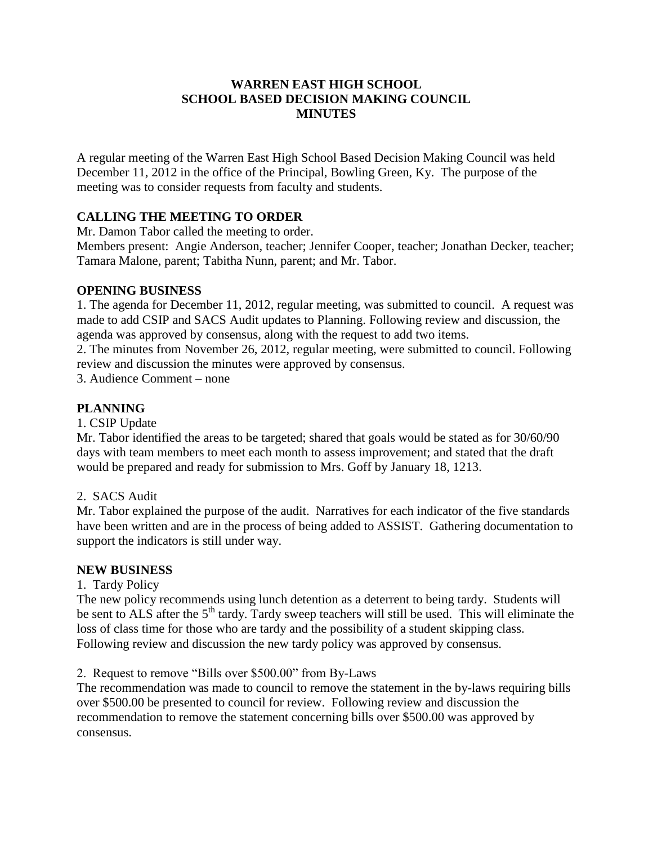# **WARREN EAST HIGH SCHOOL SCHOOL BASED DECISION MAKING COUNCIL MINUTES**

A regular meeting of the Warren East High School Based Decision Making Council was held December 11, 2012 in the office of the Principal, Bowling Green, Ky. The purpose of the meeting was to consider requests from faculty and students.

# **CALLING THE MEETING TO ORDER**

Mr. Damon Tabor called the meeting to order.

Members present: Angie Anderson, teacher; Jennifer Cooper, teacher; Jonathan Decker, teacher; Tamara Malone, parent; Tabitha Nunn, parent; and Mr. Tabor.

## **OPENING BUSINESS**

1. The agenda for December 11, 2012, regular meeting, was submitted to council. A request was made to add CSIP and SACS Audit updates to Planning. Following review and discussion, the agenda was approved by consensus, along with the request to add two items.

2. The minutes from November 26, 2012, regular meeting, were submitted to council. Following review and discussion the minutes were approved by consensus.

3. Audience Comment – none

# **PLANNING**

#### 1. CSIP Update

Mr. Tabor identified the areas to be targeted; shared that goals would be stated as for 30/60/90 days with team members to meet each month to assess improvement; and stated that the draft would be prepared and ready for submission to Mrs. Goff by January 18, 1213.

#### 2. SACS Audit

Mr. Tabor explained the purpose of the audit. Narratives for each indicator of the five standards have been written and are in the process of being added to ASSIST. Gathering documentation to support the indicators is still under way.

#### **NEW BUSINESS**

#### 1. Tardy Policy

The new policy recommends using lunch detention as a deterrent to being tardy. Students will be sent to ALS after the 5<sup>th</sup> tardy. Tardy sweep teachers will still be used. This will eliminate the loss of class time for those who are tardy and the possibility of a student skipping class. Following review and discussion the new tardy policy was approved by consensus.

2. Request to remove "Bills over \$500.00" from By-Laws

The recommendation was made to council to remove the statement in the by-laws requiring bills over \$500.00 be presented to council for review. Following review and discussion the recommendation to remove the statement concerning bills over \$500.00 was approved by consensus.